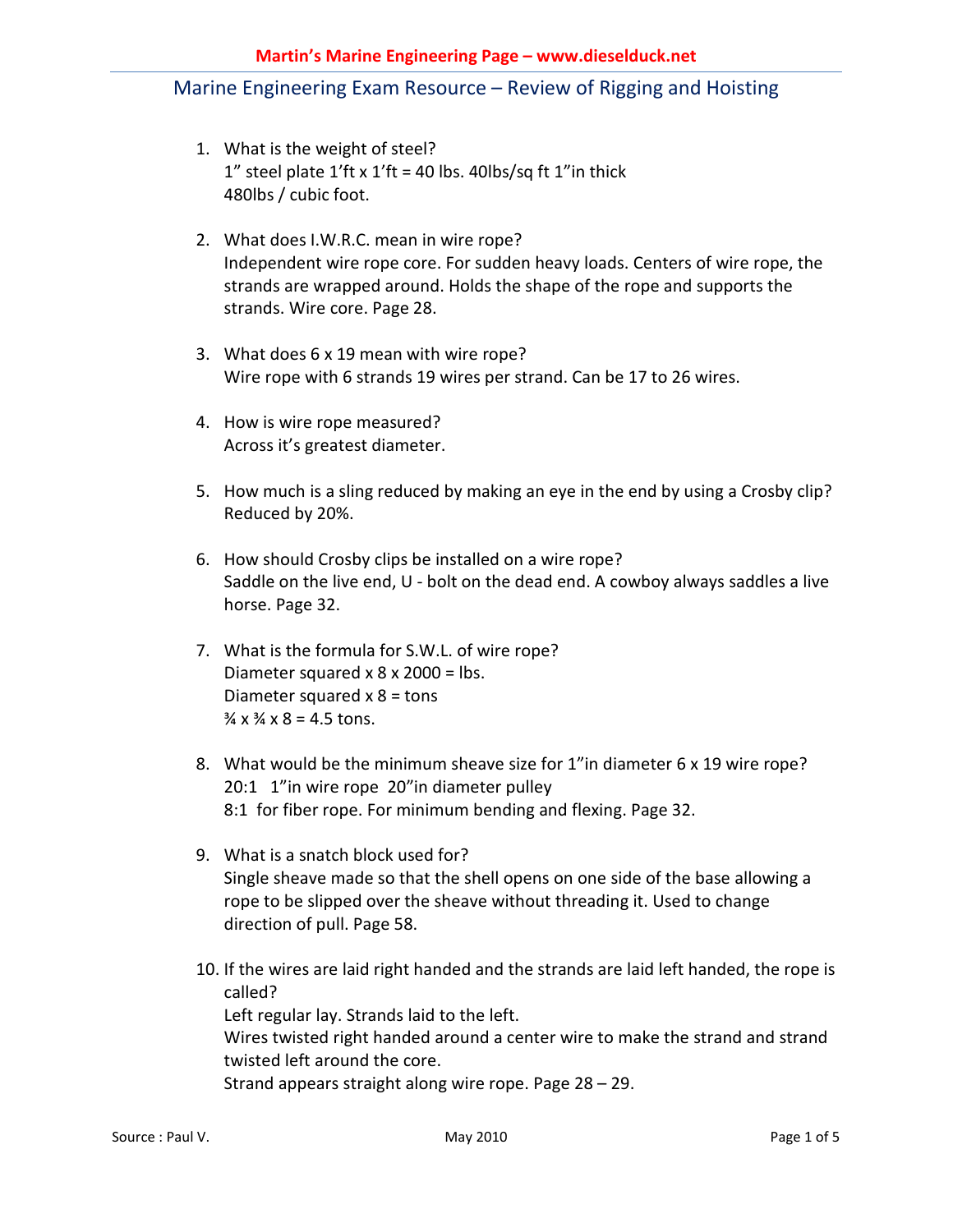- 1. What is the weight of steel? 1" steel plate  $1'$ ft x  $1'$ ft = 40 lbs. 40lbs/sq ft  $1''$ in thick 480lbs / cubic foot.
- 2. What does I.W.R.C. mean in wire rope? Independent wire rope core. For sudden heavy loads. Centers of wire rope, the strands are wrapped around. Holds the shape of the rope and supports the strands. Wire core. Page 28.
- 3. What does 6 x 19 mean with wire rope? Wire rope with 6 strands 19 wires per strand. Can be 17 to 26 wires.
- 4. How is wire rope measured? Across it's greatest diameter.
- 5. How much is a sling reduced by making an eye in the end by using a Crosby clip? Reduced by 20%.
- 6. How should Crosby clips be installed on a wire rope? Saddle on the live end, U - bolt on the dead end. A cowboy always saddles a live horse. Page 32.
- 7. What is the formula for S.W.L. of wire rope? Diameter squared  $x$  8  $x$  2000 = lbs. Diameter squared  $x$  8 = tons  $\frac{3}{4} \times \frac{3}{4} \times 8 = 4.5$  tons.
- 8. What would be the minimum sheave size for 1"in diameter 6 x 19 wire rope? 20:1 1"in wire rope 20"in diameter pulley 8:1 for fiber rope. For minimum bending and flexing. Page 32.
- 9. What is a snatch block used for? Single sheave made so that the shell opens on one side of the base allowing a rope to be slipped over the sheave without threading it. Used to change direction of pull. Page 58.
- 10. If the wires are laid right handed and the strands are laid left handed, the rope is called? Left regular lay. Strands laid to the left. Wires twisted right handed around a center wire to make the strand and strand twisted left around the core. Strand appears straight along wire rope. Page 28 – 29.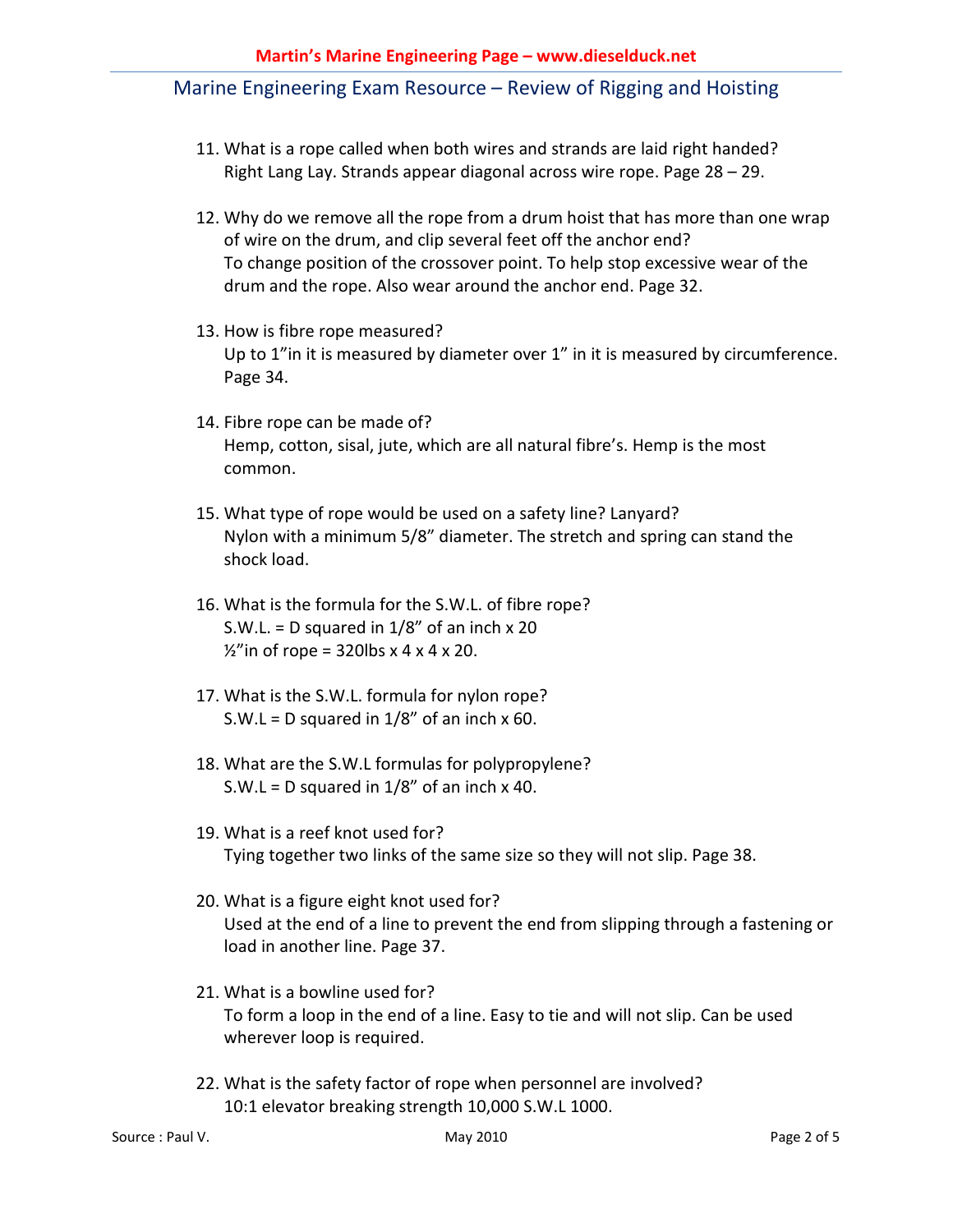- 11. What is a rope called when both wires and strands are laid right handed? Right Lang Lay. Strands appear diagonal across wire rope. Page 28 – 29.
- 12. Why do we remove all the rope from a drum hoist that has more than one wrap of wire on the drum, and clip several feet off the anchor end? To change position of the crossover point. To help stop excessive wear of the drum and the rope. Also wear around the anchor end. Page 32.
- 13. How is fibre rope measured? Up to 1"in it is measured by diameter over 1" in it is measured by circumference. Page 34.
- 14. Fibre rope can be made of? Hemp, cotton, sisal, jute, which are all natural fibre's. Hemp is the most common.
- 15. What type of rope would be used on a safety line? Lanyard? Nylon with a minimum 5/8" diameter. The stretch and spring can stand the shock load.
- 16. What is the formula for the S.W.L. of fibre rope? S.W.L. = D squared in  $1/8$ " of an inch  $\times$  20  $\frac{1}{2}$ " in of rope = 320lbs x 4 x 4 x 20.
- 17. What is the S.W.L. formula for nylon rope? S.W.L = D squared in  $1/8$ " of an inch x 60.
- 18. What are the S.W.L formulas for polypropylene? S.W.L = D squared in  $1/8$ " of an inch x 40.
- 19. What is a reef knot used for? Tying together two links of the same size so they will not slip. Page 38.
- 20. What is a figure eight knot used for? Used at the end of a line to prevent the end from slipping through a fastening or load in another line. Page 37.
- 21. What is a bowline used for? To form a loop in the end of a line. Easy to tie and will not slip. Can be used wherever loop is required.
- 22. What is the safety factor of rope when personnel are involved? 10:1 elevator breaking strength 10,000 S.W.L 1000.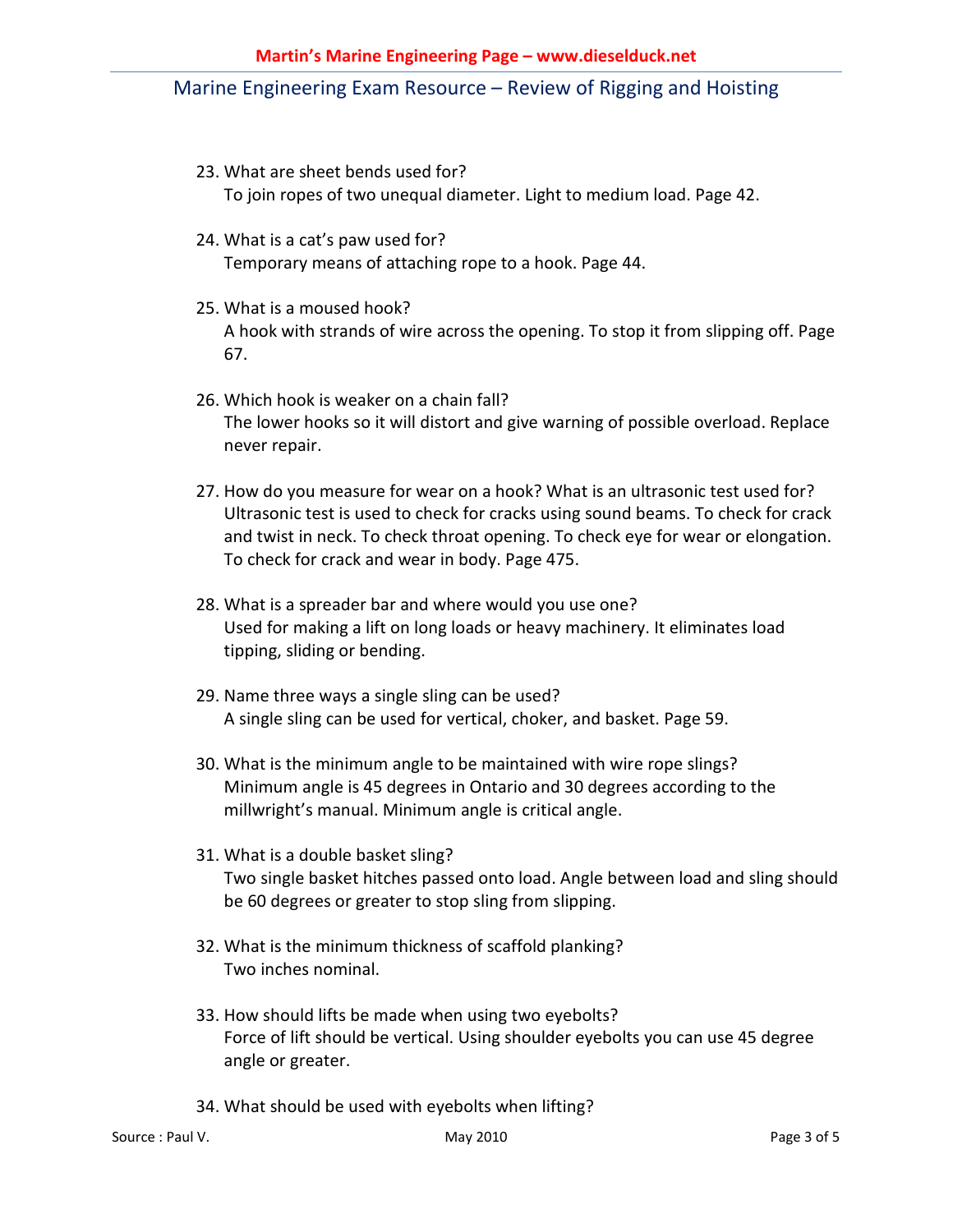- 23. What are sheet bends used for? To join ropes of two unequal diameter. Light to medium load. Page 42.
- 24. What is a cat's paw used for? Temporary means of attaching rope to a hook. Page 44.
- 25. What is a moused hook? A hook with strands of wire across the opening. To stop it from slipping off. Page 67.
- 26. Which hook is weaker on a chain fall? The lower hooks so it will distort and give warning of possible overload. Replace never repair.
- 27. How do you measure for wear on a hook? What is an ultrasonic test used for? Ultrasonic test is used to check for cracks using sound beams. To check for crack and twist in neck. To check throat opening. To check eye for wear or elongation. To check for crack and wear in body. Page 475.
- 28. What is a spreader bar and where would you use one? Used for making a lift on long loads or heavy machinery. It eliminates load tipping, sliding or bending.
- 29. Name three ways a single sling can be used? A single sling can be used for vertical, choker, and basket. Page 59.
- 30. What is the minimum angle to be maintained with wire rope slings? Minimum angle is 45 degrees in Ontario and 30 degrees according to the millwright's manual. Minimum angle is critical angle.
- 31. What is a double basket sling? Two single basket hitches passed onto load. Angle between load and sling should be 60 degrees or greater to stop sling from slipping.
- 32. What is the minimum thickness of scaffold planking? Two inches nominal.
- 33. How should lifts be made when using two eyebolts? Force of lift should be vertical. Using shoulder eyebolts you can use 45 degree angle or greater.
- 34. What should be used with eyebolts when lifting?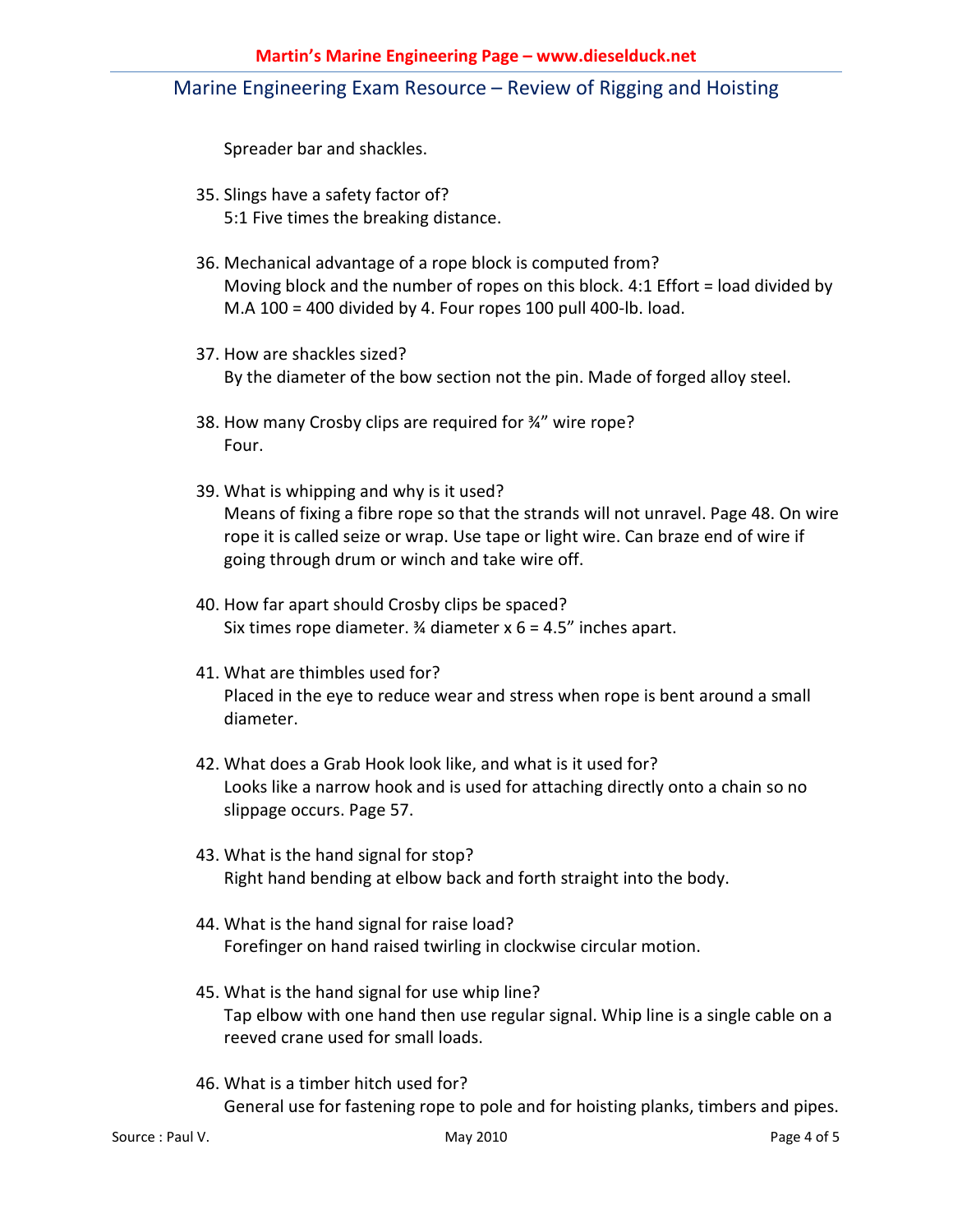Spreader bar and shackles.

- 35. Slings have a safety factor of? 5:1 Five times the breaking distance.
- 36. Mechanical advantage of a rope block is computed from? Moving block and the number of ropes on this block. 4:1 Effort = load divided by M.A 100 = 400 divided by 4. Four ropes 100 pull 400-lb. load.
- 37. How are shackles sized? By the diameter of the bow section not the pin. Made of forged alloy steel.
- 38. How many Crosby clips are required for ¾" wire rope? Four.
- 39. What is whipping and why is it used? Means of fixing a fibre rope so that the strands will not unravel. Page 48. On wire rope it is called seize or wrap. Use tape or light wire. Can braze end of wire if going through drum or winch and take wire off.
- 40. How far apart should Crosby clips be spaced? Six times rope diameter.  $\frac{3}{4}$  diameter x 6 = 4.5" inches apart.
- 41. What are thimbles used for? Placed in the eye to reduce wear and stress when rope is bent around a small diameter.
- 42. What does a Grab Hook look like, and what is it used for? Looks like a narrow hook and is used for attaching directly onto a chain so no slippage occurs. Page 57.
- 43. What is the hand signal for stop? Right hand bending at elbow back and forth straight into the body.
- 44. What is the hand signal for raise load? Forefinger on hand raised twirling in clockwise circular motion.
- 45. What is the hand signal for use whip line? Tap elbow with one hand then use regular signal. Whip line is a single cable on a reeved crane used for small loads.
- 46. What is a timber hitch used for? General use for fastening rope to pole and for hoisting planks, timbers and pipes.